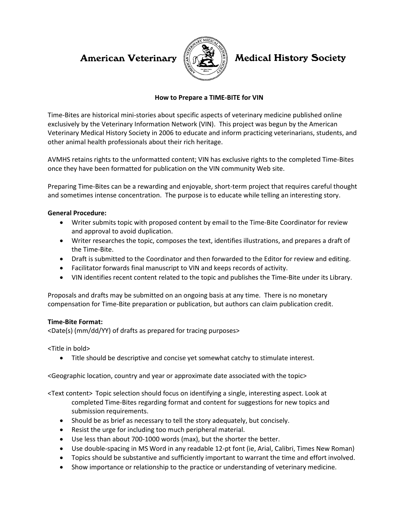## **American Veterinary**



# **Medical History Society**

#### **How to Prepare a TIME-BITE for VIN**

Time-Bites are historical mini-stories about specific aspects of veterinary medicine published online exclusively by the Veterinary Information Network (VIN). This project was begun by the American Veterinary Medical History Society in 2006 to educate and inform practicing veterinarians, students, and other animal health professionals about their rich heritage.

AVMHS retains rights to the unformatted content; VIN has exclusive rights to the completed Time-Bites once they have been formatted for publication on the VIN community Web site.

Preparing Time-Bites can be a rewarding and enjoyable, short-term project that requires careful thought and sometimes intense concentration. The purpose is to educate while telling an interesting story.

#### **General Procedure:**

- Writer submits topic with proposed content by email to the Time-Bite Coordinator for review and approval to avoid duplication.
- Writer researches the topic, composes the text, identifies illustrations, and prepares a draft of the Time-Bite.
- Draft is submitted to the Coordinator and then forwarded to the Editor for review and editing.
- Facilitator forwards final manuscript to VIN and keeps records of activity.
- VIN identifies recent content related to the topic and publishes the Time-Bite under its Library.

Proposals and drafts may be submitted on an ongoing basis at any time. There is no monetary compensation for Time-Bite preparation or publication, but authors can claim publication credit.

#### **Time-Bite Format:**

<Date(s) (mm/dd/YY) of drafts as prepared for tracing purposes>

<Title in bold>

Title should be descriptive and concise yet somewhat catchy to stimulate interest.

<Geographic location, country and year or approximate date associated with the topic>

<Text content> Topic selection should focus on identifying a single, interesting aspect. Look at completed Time-Bites regarding format and content for suggestions for new topics and submission requirements.

- Should be as brief as necessary to tell the story adequately, but concisely.
- Resist the urge for including too much peripheral material.
- Use less than about 700-1000 words (max), but the shorter the better.
- Use double-spacing in MS Word in any readable 12-pt font (ie, Arial, Calibri, Times New Roman)
- Topics should be substantive and sufficiently important to warrant the time and effort involved.
- Show importance or relationship to the practice or understanding of veterinary medicine.